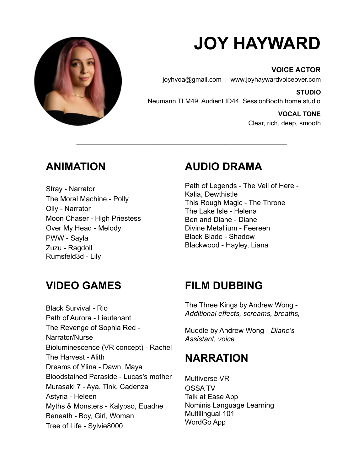

# **JOY HAYWARD**

**VOICE ACTOR** joyhvoa@gmail.com | www.joyhaywardvoiceover.com

**STUDIO** Neumann TLM49, Audient ID44, SessionBooth home studio

> **VOCAL TONE** Clear, rich, deep, smooth

## **ANIMATION**

Stray - Narrator The Moral Machine - Polly Olly - Narrator Moon Chaser - High Priestess Over My Head - Melody PWW - Sayla Zuzu - Ragdoll Rumsfeld3d - Lily

#### **AUDIO DRAMA**

\_\_\_\_\_\_\_\_\_\_\_\_\_\_\_\_\_\_\_\_\_\_\_\_\_\_\_\_\_\_\_\_\_\_\_\_\_\_\_\_\_\_\_\_\_\_\_\_\_\_\_\_\_\_\_\_\_\_

Path of Legends - The Veil of Here - Kalia, Dewthistle This Rough Magic - The Throne The Lake Isle - Helena Ben and Diane - Diane Divine Metallium - Feereen Black Blade - Shadow Blackwood - Hayley, Liana

## **VIDEO GAMES**

Black Survival - Rio Path of Aurora - Lieutenant The Revenge of Sophia Red - Narrator/Nurse Bioluminescence (VR concept) - Rachel The Harvest - Alith Dreams of Ylina - Dawn, Maya Bloodstained Paraside - Lucas's mother Murasaki 7 - Aya, Tink, Cadenza Astyria - Heleen Myths & Monsters - Kalypso, Euadne Beneath - Boy, Girl, Woman Tree of Life - Sylvie8000

## **FILM DUBBING**

The Three Kings by Andrew Wong - *Additional effects, screams, breaths,*

Muddle by Andrew Wong - *Diane's Assistant, voice*

#### **NARRATION**

Multiverse VR OSSA TV Talk at Ease App Nominis Language Learning Multilingual 101 WordGo App